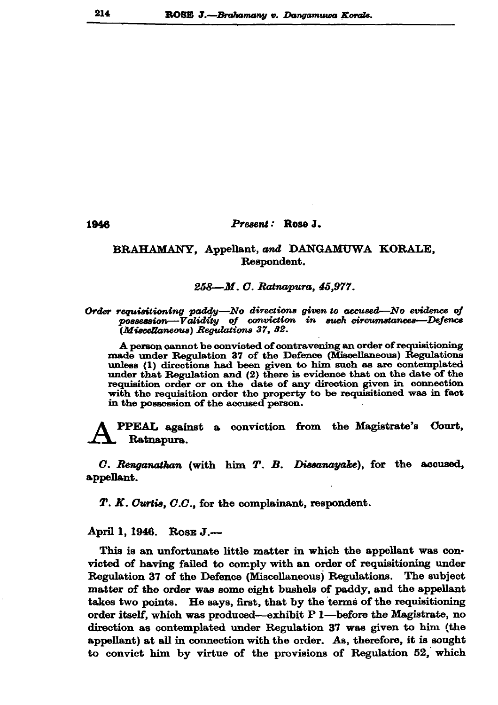## Present: Rose J.

## BRAHAMANY, Appellant, and DANGAMUWA KORALE, Respondent.

## 258—M. C. Ratnapura, 45,977.

Order requisitioning paddy-No directions given to accused-No evidence of possession-Validity of conviction in such circumstances-Defence (Miscellaneous) Regulations 37, 32.

A person cannot be convicted of contravening an order of requisitioning made under Regulation 37 of the Defence (Miscellaneous) Regulations unless (1) directions had been given to him such as are contemplated under that Regulation and (2) there is evidence that on the date of the requisition order or on the date of any direction given in connection with the requisition order the property to be requisitioned was in fact in the possession of the accused person.

Court. **PPEAL** against a conviction from the Magistrate's Ratnapura.

C. Renganathan (with him T. B. Dissanayake), for the accused, appellant.

 $T. K.$  Curtis,  $C. C.$ , for the complainant, respondent.

April 1, 1946. Rose J.-

This is an unfortunate little matter in which the appellant was convicted of having failed to comply with an order of requisitioning under Regulation 37 of the Defence (Miscellaneous) Regulations. The subject matter of the order was some eight bushels of paddy, and the appellant takes two points. He says, first, that by the terms of the requisitioning order itself, which was produced--exhibit P l-before the Magistrate, no direction as contemplated under Regulation 37 was given to him (the appellant) at all in connection with the order. As, therefore, it is sought to convict him by virtue of the provisions of Regulation 52, which

1946